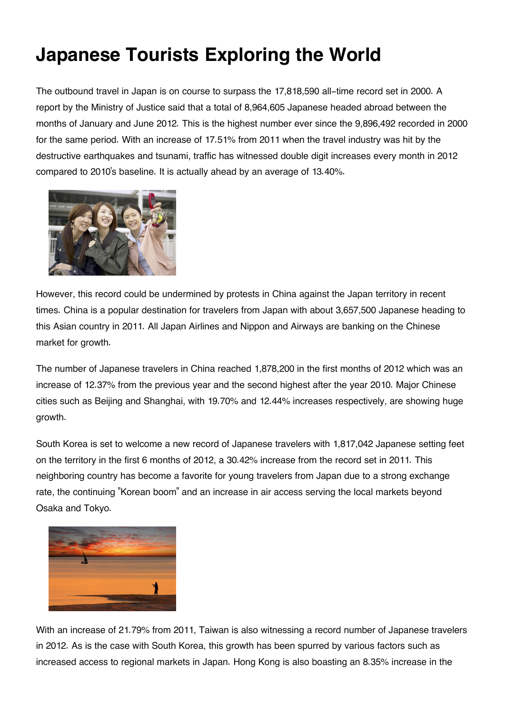## **Japanese Tourists Exploring the World**

The outbound travel in Japan is on course to surpass the 17,818,590 all-time record set in 2000. A report by the Ministry of Justice said that a total of 8,964,605 Japanese headed abroad between the months of January and June 2012. This is the highest number ever since the 9,896,492 recorded in 2000 for the same period. With an increase of 17.51% from 2011 when the travel industry was hit by the destructive earthquakes and tsunami, traffic has witnessed double digit increases every month in 2012 compared to 2010's baseline. It is actually ahead by an average of 13.40%.



However, this record could be undermined by protests in China against the Japan territory in recent times. China is a popular destination for travelers from Japan with about 3,657,500 Japanese heading to this Asian country in 2011. All Japan Airlines and Nippon and Airways are banking on the Chinese market for growth.

The number of Japanese travelers in China reached 1,878,200 in the first months of 2012 which was an increase of 12.37% from the previous year and the second highest after the year 2010. Major Chinese cities such as Beijing and Shanghai, with 19.70% and 12.44% increases respectively, are showing huge growth.

South Korea is set to welcome a new record of Japanese travelers with 1,817,042 Japanese setting feet on the territory in the first 6 months of 2012, a 30.42% increase from the record set in 2011. This neighboring country has become a favorite for young travelers from Japan due to a strong exchange rate, the continuing "Korean boom" and an increase in air access serving the local markets beyond Osaka and Tokyo.



With an increase of 21.79% from 2011, Taiwan is also witnessing a record number of Japanese travelers in 2012. As is the case with South Korea, this growth has been spurred by various factors such as increased access to regional markets in Japan. Hong Kong is also boasting an 8.35% increase in the